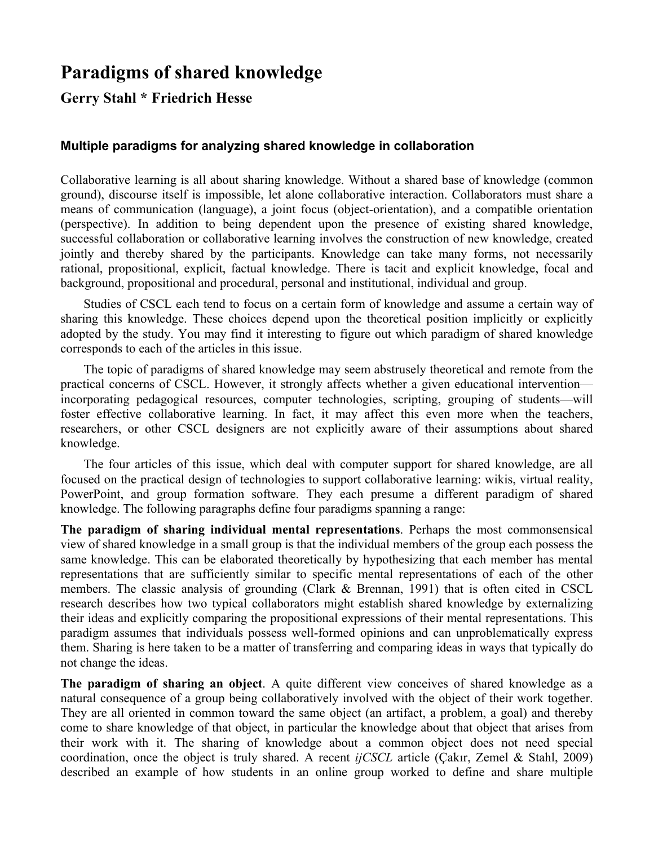# **Paradigms of shared knowledge**

# **Gerry Stahl \* Friedrich Hesse**

# **Multiple paradigms for analyzing shared knowledge in collaboration**

Collaborative learning is all about sharing knowledge. Without a shared base of knowledge (common ground), discourse itself is impossible, let alone collaborative interaction. Collaborators must share a means of communication (language), a joint focus (object-orientation), and a compatible orientation (perspective). In addition to being dependent upon the presence of existing shared knowledge, successful collaboration or collaborative learning involves the construction of new knowledge, created jointly and thereby shared by the participants. Knowledge can take many forms, not necessarily rational, propositional, explicit, factual knowledge. There is tacit and explicit knowledge, focal and background, propositional and procedural, personal and institutional, individual and group.

Studies of CSCL each tend to focus on a certain form of knowledge and assume a certain way of sharing this knowledge. These choices depend upon the theoretical position implicitly or explicitly adopted by the study. You may find it interesting to figure out which paradigm of shared knowledge corresponds to each of the articles in this issue.

The topic of paradigms of shared knowledge may seem abstrusely theoretical and remote from the practical concerns of CSCL. However, it strongly affects whether a given educational intervention incorporating pedagogical resources, computer technologies, scripting, grouping of students—will foster effective collaborative learning. In fact, it may affect this even more when the teachers, researchers, or other CSCL designers are not explicitly aware of their assumptions about shared knowledge.

The four articles of this issue, which deal with computer support for shared knowledge, are all focused on the practical design of technologies to support collaborative learning: wikis, virtual reality, PowerPoint, and group formation software. They each presume a different paradigm of shared knowledge. The following paragraphs define four paradigms spanning a range:

**The paradigm of sharing individual mental representations**. Perhaps the most commonsensical view of shared knowledge in a small group is that the individual members of the group each possess the same knowledge. This can be elaborated theoretically by hypothesizing that each member has mental representations that are sufficiently similar to specific mental representations of each of the other members. The classic analysis of grounding (Clark & Brennan, 1991) that is often cited in CSCL research describes how two typical collaborators might establish shared knowledge by externalizing their ideas and explicitly comparing the propositional expressions of their mental representations. This paradigm assumes that individuals possess well-formed opinions and can unproblematically express them. Sharing is here taken to be a matter of transferring and comparing ideas in ways that typically do not change the ideas.

**The paradigm of sharing an object**. A quite different view conceives of shared knowledge as a natural consequence of a group being collaboratively involved with the object of their work together. They are all oriented in common toward the same object (an artifact, a problem, a goal) and thereby come to share knowledge of that object, in particular the knowledge about that object that arises from their work with it. The sharing of knowledge about a common object does not need special coordination, once the object is truly shared. A recent *ijCSCL* article (Çakır, Zemel & Stahl, 2009) described an example of how students in an online group worked to define and share multiple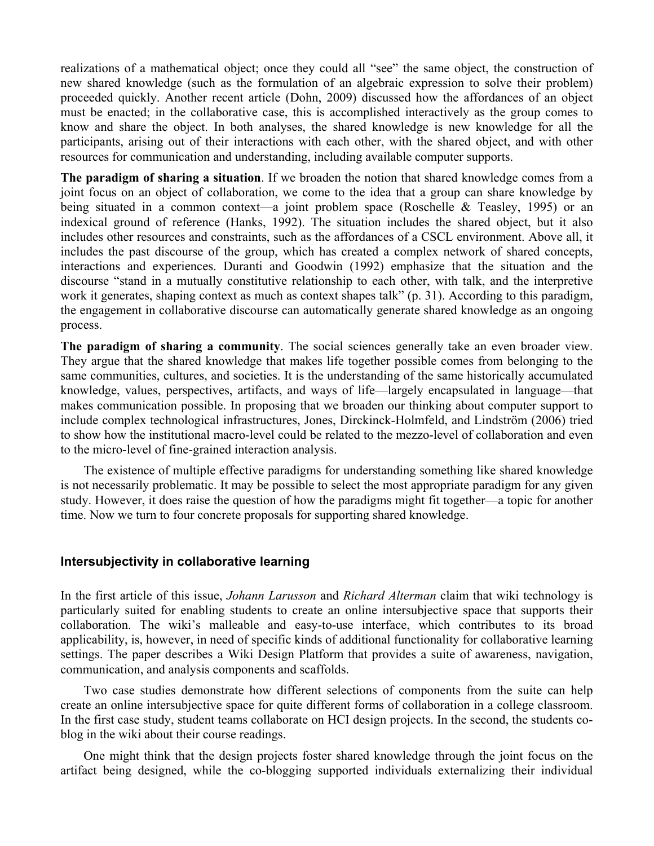realizations of a mathematical object; once they could all "see" the same object, the construction of new shared knowledge (such as the formulation of an algebraic expression to solve their problem) proceeded quickly. Another recent article (Dohn, 2009) discussed how the affordances of an object must be enacted; in the collaborative case, this is accomplished interactively as the group comes to know and share the object. In both analyses, the shared knowledge is new knowledge for all the participants, arising out of their interactions with each other, with the shared object, and with other resources for communication and understanding, including available computer supports.

**The paradigm of sharing a situation**. If we broaden the notion that shared knowledge comes from a joint focus on an object of collaboration, we come to the idea that a group can share knowledge by being situated in a common context—a joint problem space (Roschelle & Teasley, 1995) or an indexical ground of reference (Hanks, 1992). The situation includes the shared object, but it also includes other resources and constraints, such as the affordances of a CSCL environment. Above all, it includes the past discourse of the group, which has created a complex network of shared concepts, interactions and experiences. Duranti and Goodwin (1992) emphasize that the situation and the discourse "stand in a mutually constitutive relationship to each other, with talk, and the interpretive work it generates, shaping context as much as context shapes talk" (p. 31). According to this paradigm, the engagement in collaborative discourse can automatically generate shared knowledge as an ongoing process.

**The paradigm of sharing a community**. The social sciences generally take an even broader view. They argue that the shared knowledge that makes life together possible comes from belonging to the same communities, cultures, and societies. It is the understanding of the same historically accumulated knowledge, values, perspectives, artifacts, and ways of life—largely encapsulated in language—that makes communication possible. In proposing that we broaden our thinking about computer support to include complex technological infrastructures, Jones, Dirckinck-Holmfeld, and Lindström (2006) tried to show how the institutional macro-level could be related to the mezzo-level of collaboration and even to the micro-level of fine-grained interaction analysis.

The existence of multiple effective paradigms for understanding something like shared knowledge is not necessarily problematic. It may be possible to select the most appropriate paradigm for any given study. However, it does raise the question of how the paradigms might fit together—a topic for another time. Now we turn to four concrete proposals for supporting shared knowledge.

#### **Intersubjectivity in collaborative learning**

In the first article of this issue, *Johann Larusson* and *Richard Alterman* claim that wiki technology is particularly suited for enabling students to create an online intersubjective space that supports their collaboration. The wiki's malleable and easy-to-use interface, which contributes to its broad applicability, is, however, in need of specific kinds of additional functionality for collaborative learning settings. The paper describes a Wiki Design Platform that provides a suite of awareness, navigation, communication, and analysis components and scaffolds.

Two case studies demonstrate how different selections of components from the suite can help create an online intersubjective space for quite different forms of collaboration in a college classroom. In the first case study, student teams collaborate on HCI design projects. In the second, the students coblog in the wiki about their course readings.

One might think that the design projects foster shared knowledge through the joint focus on the artifact being designed, while the co-blogging supported individuals externalizing their individual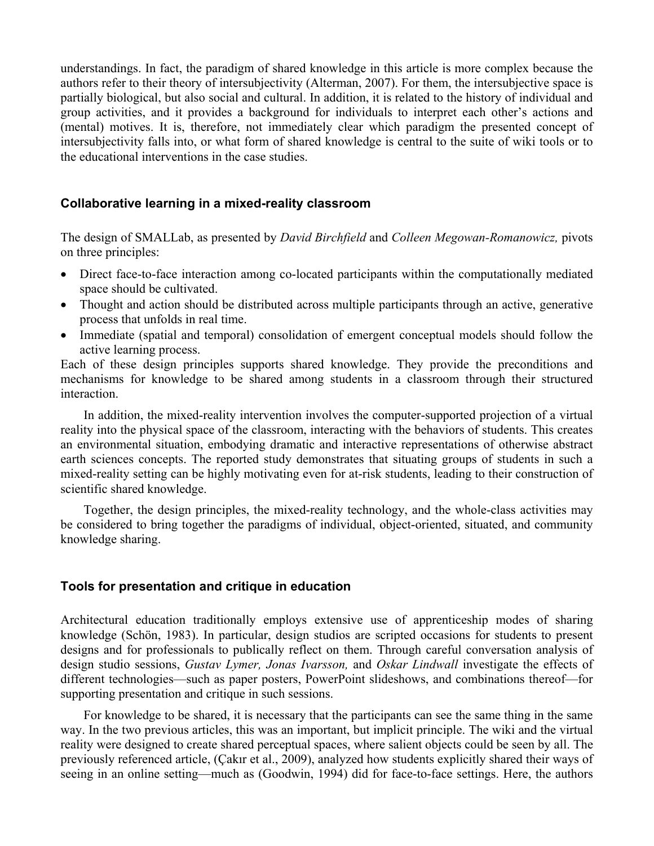understandings. In fact, the paradigm of shared knowledge in this article is more complex because the authors refer to their theory of intersubjectivity (Alterman, 2007). For them, the intersubjective space is partially biological, but also social and cultural. In addition, it is related to the history of individual and group activities, and it provides a background for individuals to interpret each other's actions and (mental) motives. It is, therefore, not immediately clear which paradigm the presented concept of intersubjectivity falls into, or what form of shared knowledge is central to the suite of wiki tools or to the educational interventions in the case studies.

## **Collaborative learning in a mixed-reality classroom**

The design of SMALLab, as presented by *David Birchfield* and *Colleen Megowan-Romanowicz,* pivots on three principles:

- Direct face-to-face interaction among co-located participants within the computationally mediated space should be cultivated.
- Thought and action should be distributed across multiple participants through an active, generative process that unfolds in real time.
- Immediate (spatial and temporal) consolidation of emergent conceptual models should follow the active learning process.

Each of these design principles supports shared knowledge. They provide the preconditions and mechanisms for knowledge to be shared among students in a classroom through their structured interaction.

In addition, the mixed-reality intervention involves the computer-supported projection of a virtual reality into the physical space of the classroom, interacting with the behaviors of students. This creates an environmental situation, embodying dramatic and interactive representations of otherwise abstract earth sciences concepts. The reported study demonstrates that situating groups of students in such a mixed-reality setting can be highly motivating even for at-risk students, leading to their construction of scientific shared knowledge.

Together, the design principles, the mixed-reality technology, and the whole-class activities may be considered to bring together the paradigms of individual, object-oriented, situated, and community knowledge sharing.

#### **Tools for presentation and critique in education**

Architectural education traditionally employs extensive use of apprenticeship modes of sharing knowledge (Schön, 1983). In particular, design studios are scripted occasions for students to present designs and for professionals to publically reflect on them. Through careful conversation analysis of design studio sessions, *Gustav Lymer, Jonas Ivarsson,* and *Oskar Lindwall* investigate the effects of different technologies—such as paper posters, PowerPoint slideshows, and combinations thereof—for supporting presentation and critique in such sessions.

For knowledge to be shared, it is necessary that the participants can see the same thing in the same way. In the two previous articles, this was an important, but implicit principle. The wiki and the virtual reality were designed to create shared perceptual spaces, where salient objects could be seen by all. The previously referenced article, (Çakır et al., 2009), analyzed how students explicitly shared their ways of seeing in an online setting—much as (Goodwin, 1994) did for face-to-face settings. Here, the authors